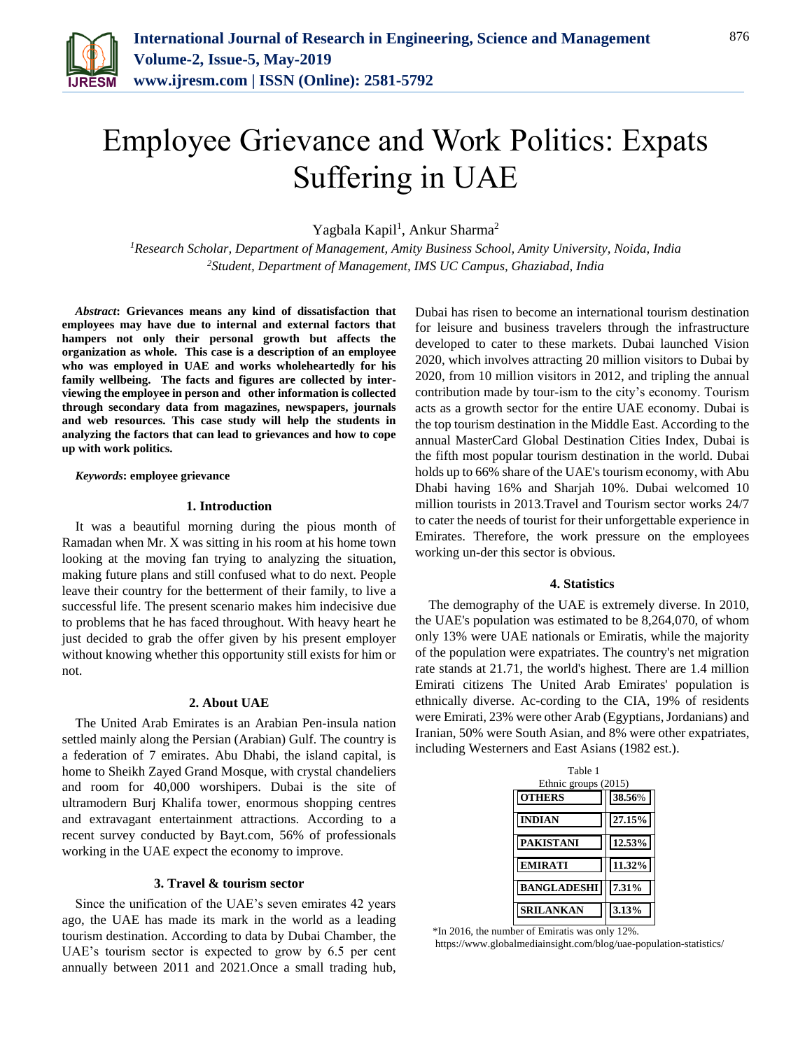

# Employee Grievance and Work Politics: Expats Suffering in UAE

Yagbala Kapil<sup>1</sup>, Ankur Sharma<sup>2</sup>

*<sup>1</sup>Research Scholar, Department of Management, Amity Business School, Amity University, Noida, India <sup>2</sup>Student, Department of Management, IMS UC Campus, Ghaziabad, India*

*Abstract***: Grievances means any kind of dissatisfaction that employees may have due to internal and external factors that hampers not only their personal growth but affects the organization as whole. This case is a description of an employee who was employed in UAE and works wholeheartedly for his family wellbeing. The facts and figures are collected by interviewing the employee in person and other information is collected through secondary data from magazines, newspapers, journals and web resources. This case study will help the students in analyzing the factors that can lead to grievances and how to cope up with work politics.**

# *Keywords***: employee grievance**

#### **1. Introduction**

It was a beautiful morning during the pious month of Ramadan when Mr. X was sitting in his room at his home town looking at the moving fan trying to analyzing the situation, making future plans and still confused what to do next. People leave their country for the betterment of their family, to live a successful life. The present scenario makes him indecisive due to problems that he has faced throughout. With heavy heart he just decided to grab the offer given by his present employer without knowing whether this opportunity still exists for him or not.

## **2. About UAE**

The United Arab Emirates is an Arabian Pen-insula nation settled mainly along the Persian (Arabian) Gulf. The country is a federation of 7 emirates. Abu Dhabi, the island capital, is home to Sheikh Zayed Grand Mosque, with crystal chandeliers and room for 40,000 worshipers. Dubai is the site of ultramodern Burj Khalifa tower, enormous shopping centres and extravagant entertainment attractions. According to a recent survey conducted by Bayt.com, 56% of professionals working in the UAE expect the economy to improve.

# **3. Travel & tourism sector**

Since the unification of the UAE's seven emirates 42 years ago, the UAE has made its mark in the world as a leading tourism destination. According to data by Dubai Chamber, the UAE's tourism sector is expected to grow by 6.5 per cent annually between 2011 and 2021.Once a small trading hub,

Dubai has risen to become an international tourism destination for leisure and business travelers through the infrastructure developed to cater to these markets. Dubai launched Vision 2020, which involves attracting 20 million visitors to Dubai by 2020, from 10 million visitors in 2012, and tripling the annual contribution made by tour-ism to the city's economy. Tourism acts as a growth sector for the entire UAE economy. Dubai is the top tourism destination in the Middle East. According to the annual MasterCard Global Destination Cities Index, Dubai is the fifth most popular tourism destination in the world. Dubai holds up to 66% share of the UAE's tourism economy, with Abu Dhabi having 16% and Sharjah 10%. Dubai welcomed 10 million tourists in 2013.Travel and Tourism sector works 24/7 to cater the needs of tourist for their unforgettable experience in Emirates. Therefore, the work pressure on the employees working un-der this sector is obvious.

## **4. Statistics**

The demography of the UAE is extremely diverse. In 2010, the UAE's population was estimated to be 8,264,070, of whom only 13% were UAE nationals or Emiratis, while the majority of the population were expatriates. The country's net migration rate stands at 21.71, the world's highest. There are 1.4 million Emirati citizens The United Arab Emirates' population is ethnically diverse. Ac-cording to the CIA, 19% of residents were Emirati, 23% were other Arab (Egyptians, Jordanians) and Iranian, 50% were South Asian, and 8% were other expatriates, including Westerners and East Asians (1982 est.).

| Table 1<br>Ethnic groups (2015) |        |
|---------------------------------|--------|
| <b>OTHERS</b>                   | 38.56% |
| <b>INDIAN</b>                   | 27.15% |
| <b>PAKISTANI</b>                | 12.53% |
| <b>EMIRATI</b>                  | 11.32% |
| <b>BANGLADESHI</b>              | 7.31%  |
| <b>LANKAN</b>                   | 3.13%  |

\*In 2016, the number of Emiratis was only 12%.

https://www.globalmediainsight.com/blog/uae-population-statistics/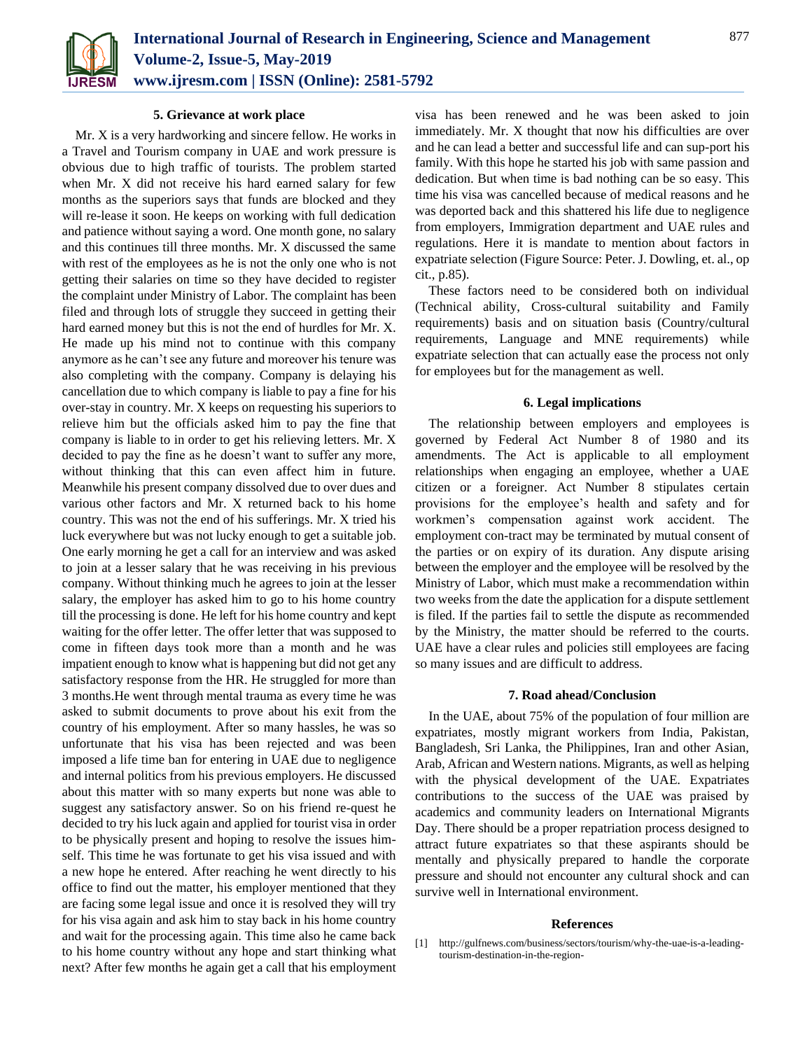

# **5. Grievance at work place**

Mr. X is a very hardworking and sincere fellow. He works in a Travel and Tourism company in UAE and work pressure is obvious due to high traffic of tourists. The problem started when Mr. X did not receive his hard earned salary for few months as the superiors says that funds are blocked and they will re-lease it soon. He keeps on working with full dedication and patience without saying a word. One month gone, no salary and this continues till three months. Mr. X discussed the same with rest of the employees as he is not the only one who is not getting their salaries on time so they have decided to register the complaint under Ministry of Labor. The complaint has been filed and through lots of struggle they succeed in getting their hard earned money but this is not the end of hurdles for Mr. X. He made up his mind not to continue with this company anymore as he can't see any future and moreover his tenure was also completing with the company. Company is delaying his cancellation due to which company is liable to pay a fine for his over-stay in country. Mr. X keeps on requesting his superiors to relieve him but the officials asked him to pay the fine that company is liable to in order to get his relieving letters. Mr. X decided to pay the fine as he doesn't want to suffer any more, without thinking that this can even affect him in future. Meanwhile his present company dissolved due to over dues and various other factors and Mr. X returned back to his home country. This was not the end of his sufferings. Mr. X tried his luck everywhere but was not lucky enough to get a suitable job. One early morning he get a call for an interview and was asked to join at a lesser salary that he was receiving in his previous company. Without thinking much he agrees to join at the lesser salary, the employer has asked him to go to his home country till the processing is done. He left for his home country and kept waiting for the offer letter. The offer letter that was supposed to come in fifteen days took more than a month and he was impatient enough to know what is happening but did not get any satisfactory response from the HR. He struggled for more than 3 months.He went through mental trauma as every time he was asked to submit documents to prove about his exit from the country of his employment. After so many hassles, he was so unfortunate that his visa has been rejected and was been imposed a life time ban for entering in UAE due to negligence and internal politics from his previous employers. He discussed about this matter with so many experts but none was able to suggest any satisfactory answer. So on his friend re-quest he decided to try his luck again and applied for tourist visa in order to be physically present and hoping to resolve the issues himself. This time he was fortunate to get his visa issued and with a new hope he entered. After reaching he went directly to his office to find out the matter, his employer mentioned that they are facing some legal issue and once it is resolved they will try for his visa again and ask him to stay back in his home country and wait for the processing again. This time also he came back to his home country without any hope and start thinking what next? After few months he again get a call that his employment

visa has been renewed and he was been asked to join immediately. Mr. X thought that now his difficulties are over and he can lead a better and successful life and can sup-port his family. With this hope he started his job with same passion and dedication. But when time is bad nothing can be so easy. This time his visa was cancelled because of medical reasons and he was deported back and this shattered his life due to negligence from employers, Immigration department and UAE rules and regulations. Here it is mandate to mention about factors in expatriate selection (Figure Source: Peter. J. Dowling, et. al., op cit., p.85).

These factors need to be considered both on individual (Technical ability, Cross-cultural suitability and Family requirements) basis and on situation basis (Country/cultural requirements, Language and MNE requirements) while expatriate selection that can actually ease the process not only for employees but for the management as well.

# **6. Legal implications**

The relationship between employers and employees is governed by Federal Act Number 8 of 1980 and its amendments. The Act is applicable to all employment relationships when engaging an employee, whether a UAE citizen or a foreigner. Act Number 8 stipulates certain provisions for the employee's health and safety and for workmen's compensation against work accident. The employment con-tract may be terminated by mutual consent of the parties or on expiry of its duration. Any dispute arising between the employer and the employee will be resolved by the Ministry of Labor, which must make a recommendation within two weeks from the date the application for a dispute settlement is filed. If the parties fail to settle the dispute as recommended by the Ministry, the matter should be referred to the courts. UAE have a clear rules and policies still employees are facing so many issues and are difficult to address.

### **7. Road ahead/Conclusion**

In the UAE, about 75% of the population of four million are expatriates, mostly migrant workers from India, Pakistan, Bangladesh, Sri Lanka, the Philippines, Iran and other Asian, Arab, African and Western nations. Migrants, as well as helping with the physical development of the UAE. Expatriates contributions to the success of the UAE was praised by academics and community leaders on International Migrants Day. There should be a proper repatriation process designed to attract future expatriates so that these aspirants should be mentally and physically prepared to handle the corporate pressure and should not encounter any cultural shock and can survive well in International environment.

# **References**

[1] http://gulfnews.com/business/sectors/tourism/why-the-uae-is-a-leadingtourism-destination-in-the-region-